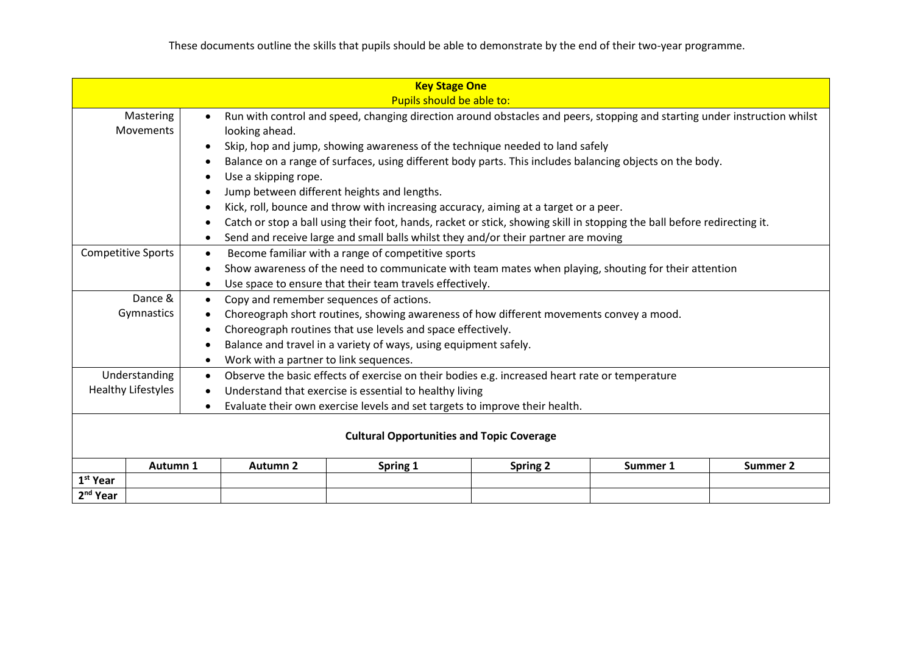| <b>Key Stage One</b>                                                                                  |                                                                                                                          |                                                                       |                                                                                                      |          |                                                                                                                           |          |                 |  |  |
|-------------------------------------------------------------------------------------------------------|--------------------------------------------------------------------------------------------------------------------------|-----------------------------------------------------------------------|------------------------------------------------------------------------------------------------------|----------|---------------------------------------------------------------------------------------------------------------------------|----------|-----------------|--|--|
|                                                                                                       | Pupils should be able to:                                                                                                |                                                                       |                                                                                                      |          |                                                                                                                           |          |                 |  |  |
| Mastering<br>$\bullet$<br>Movements<br>looking ahead.                                                 |                                                                                                                          |                                                                       |                                                                                                      |          | Run with control and speed, changing direction around obstacles and peers, stopping and starting under instruction whilst |          |                 |  |  |
| Skip, hop and jump, showing awareness of the technique needed to land safely<br>$\bullet$             |                                                                                                                          |                                                                       |                                                                                                      |          |                                                                                                                           |          |                 |  |  |
|                                                                                                       | Balance on a range of surfaces, using different body parts. This includes balancing objects on the body.                 |                                                                       |                                                                                                      |          |                                                                                                                           |          |                 |  |  |
|                                                                                                       | Use a skipping rope.                                                                                                     |                                                                       |                                                                                                      |          |                                                                                                                           |          |                 |  |  |
|                                                                                                       | Jump between different heights and lengths.<br>$\bullet$                                                                 |                                                                       |                                                                                                      |          |                                                                                                                           |          |                 |  |  |
| Kick, roll, bounce and throw with increasing accuracy, aiming at a target or a peer.                  |                                                                                                                          |                                                                       |                                                                                                      |          |                                                                                                                           |          |                 |  |  |
|                                                                                                       | Catch or stop a ball using their foot, hands, racket or stick, showing skill in stopping the ball before redirecting it. |                                                                       |                                                                                                      |          |                                                                                                                           |          |                 |  |  |
|                                                                                                       | Send and receive large and small balls whilst they and/or their partner are moving<br>$\bullet$                          |                                                                       |                                                                                                      |          |                                                                                                                           |          |                 |  |  |
|                                                                                                       | <b>Competitive Sports</b><br>Become familiar with a range of competitive sports<br>$\bullet$                             |                                                                       |                                                                                                      |          |                                                                                                                           |          |                 |  |  |
|                                                                                                       |                                                                                                                          |                                                                       | Show awareness of the need to communicate with team mates when playing, shouting for their attention |          |                                                                                                                           |          |                 |  |  |
|                                                                                                       |                                                                                                                          | Use space to ensure that their team travels effectively.<br>$\bullet$ |                                                                                                      |          |                                                                                                                           |          |                 |  |  |
|                                                                                                       | Dance &<br>Copy and remember sequences of actions.<br>$\bullet$                                                          |                                                                       |                                                                                                      |          |                                                                                                                           |          |                 |  |  |
| Gymnastics<br>Choreograph short routines, showing awareness of how different movements convey a mood. |                                                                                                                          |                                                                       |                                                                                                      |          |                                                                                                                           |          |                 |  |  |
|                                                                                                       |                                                                                                                          | $\bullet$                                                             | Choreograph routines that use levels and space effectively.                                          |          |                                                                                                                           |          |                 |  |  |
|                                                                                                       |                                                                                                                          |                                                                       | Balance and travel in a variety of ways, using equipment safely.                                     |          |                                                                                                                           |          |                 |  |  |
|                                                                                                       |                                                                                                                          |                                                                       | Work with a partner to link sequences.                                                               |          |                                                                                                                           |          |                 |  |  |
| Understanding                                                                                         |                                                                                                                          | $\bullet$                                                             | Observe the basic effects of exercise on their bodies e.g. increased heart rate or temperature       |          |                                                                                                                           |          |                 |  |  |
| <b>Healthy Lifestyles</b>                                                                             |                                                                                                                          |                                                                       | Understand that exercise is essential to healthy living                                              |          |                                                                                                                           |          |                 |  |  |
| Evaluate their own exercise levels and set targets to improve their health.                           |                                                                                                                          |                                                                       |                                                                                                      |          |                                                                                                                           |          |                 |  |  |
| <b>Cultural Opportunities and Topic Coverage</b>                                                      |                                                                                                                          |                                                                       |                                                                                                      |          |                                                                                                                           |          |                 |  |  |
|                                                                                                       |                                                                                                                          |                                                                       |                                                                                                      |          |                                                                                                                           |          |                 |  |  |
|                                                                                                       | Autumn 1                                                                                                                 |                                                                       | <b>Autumn 2</b>                                                                                      | Spring 1 | <b>Spring 2</b>                                                                                                           | Summer 1 | <b>Summer 2</b> |  |  |
| 1 <sup>st</sup> Year                                                                                  |                                                                                                                          |                                                                       |                                                                                                      |          |                                                                                                                           |          |                 |  |  |
| 2 <sup>nd</sup> Year                                                                                  |                                                                                                                          |                                                                       |                                                                                                      |          |                                                                                                                           |          |                 |  |  |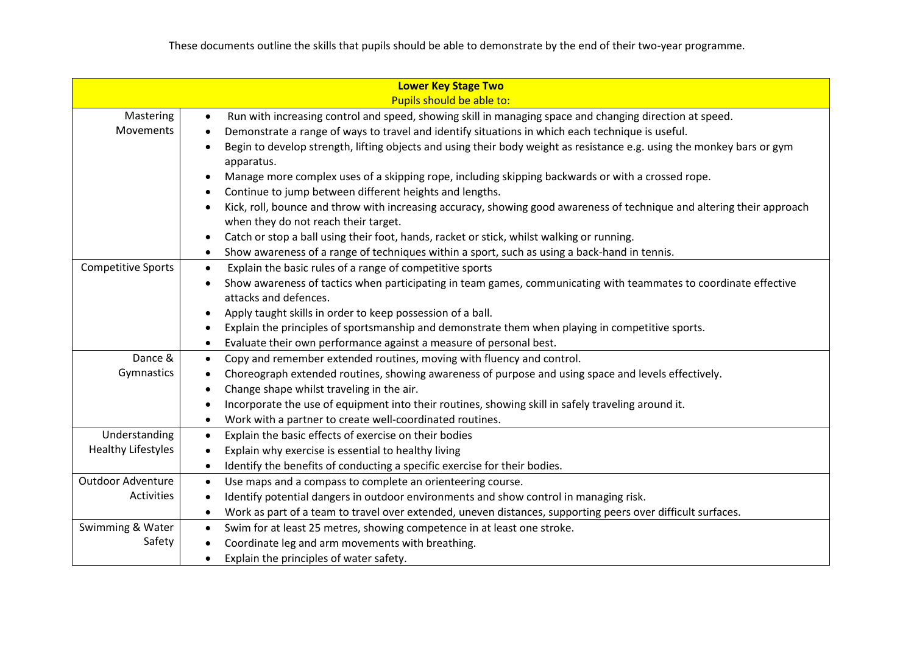|                           | <b>Lower Key Stage Two</b>                                                                                                          |  |  |  |  |  |
|---------------------------|-------------------------------------------------------------------------------------------------------------------------------------|--|--|--|--|--|
|                           | Pupils should be able to:                                                                                                           |  |  |  |  |  |
|                           | Mastering<br>Run with increasing control and speed, showing skill in managing space and changing direction at speed.<br>$\bullet$   |  |  |  |  |  |
| Movements                 | Demonstrate a range of ways to travel and identify situations in which each technique is useful.                                    |  |  |  |  |  |
|                           | Begin to develop strength, lifting objects and using their body weight as resistance e.g. using the monkey bars or gym              |  |  |  |  |  |
|                           | apparatus.                                                                                                                          |  |  |  |  |  |
|                           | Manage more complex uses of a skipping rope, including skipping backwards or with a crossed rope.                                   |  |  |  |  |  |
|                           | Continue to jump between different heights and lengths.                                                                             |  |  |  |  |  |
|                           | Kick, roll, bounce and throw with increasing accuracy, showing good awareness of technique and altering their approach<br>$\bullet$ |  |  |  |  |  |
|                           | when they do not reach their target.                                                                                                |  |  |  |  |  |
|                           | Catch or stop a ball using their foot, hands, racket or stick, whilst walking or running.<br>$\bullet$                              |  |  |  |  |  |
|                           | Show awareness of a range of techniques within a sport, such as using a back-hand in tennis.<br>$\bullet$                           |  |  |  |  |  |
| <b>Competitive Sports</b> | Explain the basic rules of a range of competitive sports<br>$\bullet$                                                               |  |  |  |  |  |
|                           | Show awareness of tactics when participating in team games, communicating with teammates to coordinate effective                    |  |  |  |  |  |
|                           | attacks and defences.                                                                                                               |  |  |  |  |  |
|                           | Apply taught skills in order to keep possession of a ball.<br>$\bullet$                                                             |  |  |  |  |  |
|                           | Explain the principles of sportsmanship and demonstrate them when playing in competitive sports.                                    |  |  |  |  |  |
|                           | Evaluate their own performance against a measure of personal best.<br>$\bullet$                                                     |  |  |  |  |  |
| Dance &                   | Copy and remember extended routines, moving with fluency and control.<br>$\bullet$                                                  |  |  |  |  |  |
| Gymnastics                | Choreograph extended routines, showing awareness of purpose and using space and levels effectively.                                 |  |  |  |  |  |
|                           | Change shape whilst traveling in the air.                                                                                           |  |  |  |  |  |
|                           | Incorporate the use of equipment into their routines, showing skill in safely traveling around it.                                  |  |  |  |  |  |
|                           | Work with a partner to create well-coordinated routines.<br>$\bullet$                                                               |  |  |  |  |  |
| Understanding             | Explain the basic effects of exercise on their bodies<br>$\bullet$                                                                  |  |  |  |  |  |
| <b>Healthy Lifestyles</b> | Explain why exercise is essential to healthy living                                                                                 |  |  |  |  |  |
|                           | Identify the benefits of conducting a specific exercise for their bodies.<br>$\bullet$                                              |  |  |  |  |  |
| Outdoor Adventure         | Use maps and a compass to complete an orienteering course.<br>$\bullet$                                                             |  |  |  |  |  |
| Activities                | Identify potential dangers in outdoor environments and show control in managing risk.                                               |  |  |  |  |  |
|                           | Work as part of a team to travel over extended, uneven distances, supporting peers over difficult surfaces.<br>$\bullet$            |  |  |  |  |  |
| Swimming & Water          | Swim for at least 25 metres, showing competence in at least one stroke.                                                             |  |  |  |  |  |
| Safety                    | Coordinate leg and arm movements with breathing.                                                                                    |  |  |  |  |  |
|                           | Explain the principles of water safety.                                                                                             |  |  |  |  |  |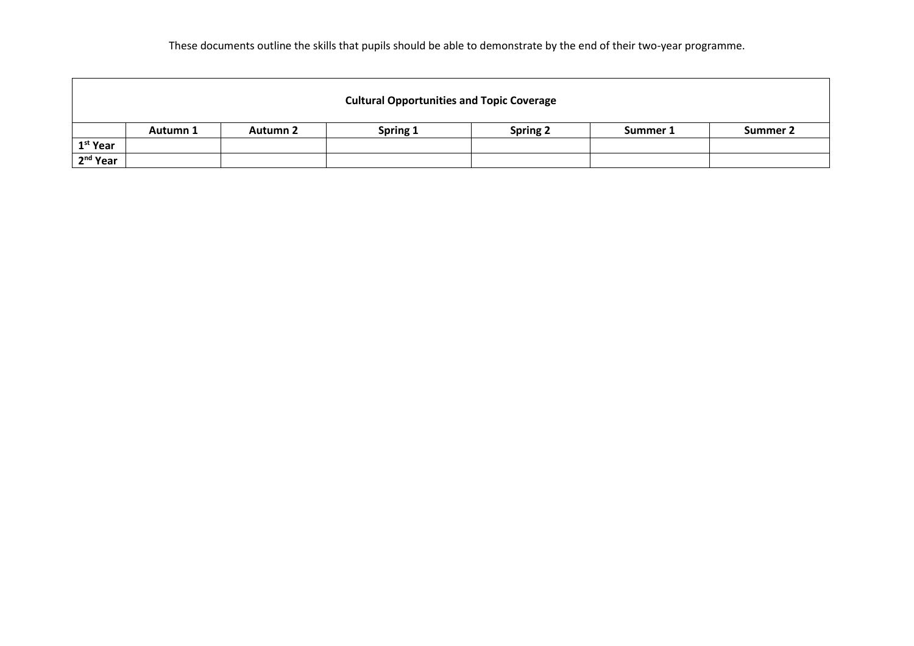These documents outline the skills that pupils should be able to demonstrate by the end of their two-year programme.

|                      | <b>Cultural Opportunities and Topic Coverage</b> |                 |          |          |          |          |  |  |
|----------------------|--------------------------------------------------|-----------------|----------|----------|----------|----------|--|--|
|                      | Autumn 1                                         | <b>Autumn 2</b> | Spring 1 | Spring 2 | Summer 1 | Summer 2 |  |  |
| 1 <sup>st</sup> Year |                                                  |                 |          |          |          |          |  |  |
| 2 <sup>nd</sup> Year |                                                  |                 |          |          |          |          |  |  |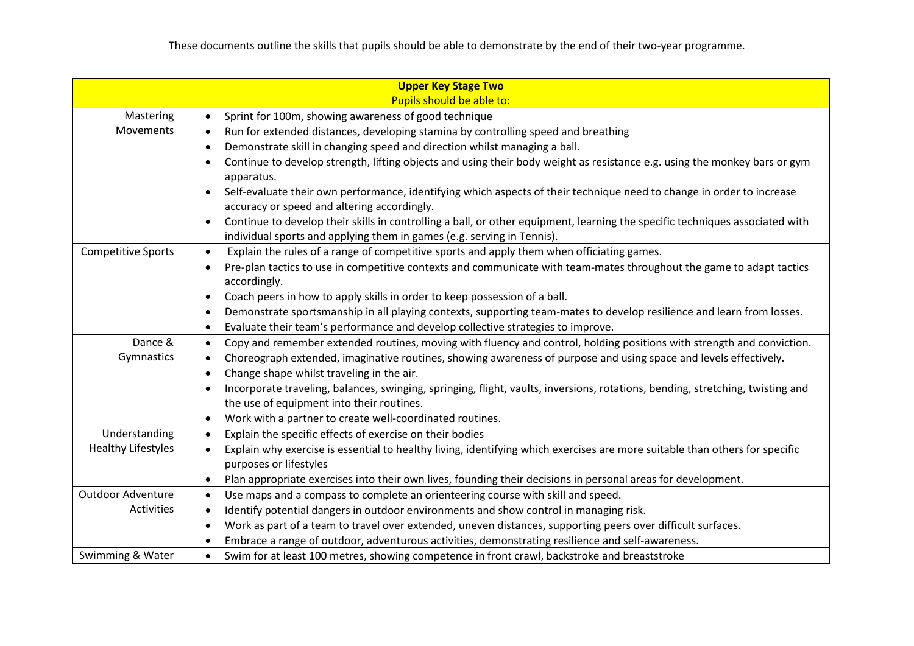|                                                                                                                                     | <b>Upper Key Stage Two</b>                                                                                                                                           |  |  |  |  |  |
|-------------------------------------------------------------------------------------------------------------------------------------|----------------------------------------------------------------------------------------------------------------------------------------------------------------------|--|--|--|--|--|
|                                                                                                                                     | Pupils should be able to:                                                                                                                                            |  |  |  |  |  |
| Mastering                                                                                                                           | Sprint for 100m, showing awareness of good technique<br>$\bullet$                                                                                                    |  |  |  |  |  |
| Movements                                                                                                                           | Run for extended distances, developing stamina by controlling speed and breathing<br>$\bullet$                                                                       |  |  |  |  |  |
|                                                                                                                                     | Demonstrate skill in changing speed and direction whilst managing a ball.<br>$\bullet$                                                                               |  |  |  |  |  |
|                                                                                                                                     | Continue to develop strength, lifting objects and using their body weight as resistance e.g. using the monkey bars or gym                                            |  |  |  |  |  |
|                                                                                                                                     | apparatus.                                                                                                                                                           |  |  |  |  |  |
|                                                                                                                                     | Self-evaluate their own performance, identifying which aspects of their technique need to change in order to increase<br>accuracy or speed and altering accordingly. |  |  |  |  |  |
|                                                                                                                                     | Continue to develop their skills in controlling a ball, or other equipment, learning the specific techniques associated with<br>٠                                    |  |  |  |  |  |
|                                                                                                                                     | individual sports and applying them in games (e.g. serving in Tennis).                                                                                               |  |  |  |  |  |
| <b>Competitive Sports</b><br>Explain the rules of a range of competitive sports and apply them when officiating games.<br>$\bullet$ |                                                                                                                                                                      |  |  |  |  |  |
| Pre-plan tactics to use in competitive contexts and communicate with team-mates throughout the game to adapt tactics                |                                                                                                                                                                      |  |  |  |  |  |
|                                                                                                                                     | accordingly.                                                                                                                                                         |  |  |  |  |  |
|                                                                                                                                     | Coach peers in how to apply skills in order to keep possession of a ball.                                                                                            |  |  |  |  |  |
|                                                                                                                                     | Demonstrate sportsmanship in all playing contexts, supporting team-mates to develop resilience and learn from losses.                                                |  |  |  |  |  |
|                                                                                                                                     | Evaluate their team's performance and develop collective strategies to improve.<br>$\bullet$                                                                         |  |  |  |  |  |
| Dance &                                                                                                                             | Copy and remember extended routines, moving with fluency and control, holding positions with strength and conviction.<br>$\bullet$                                   |  |  |  |  |  |
| Gymnastics                                                                                                                          | Choreograph extended, imaginative routines, showing awareness of purpose and using space and levels effectively.                                                     |  |  |  |  |  |
| Change shape whilst traveling in the air.                                                                                           |                                                                                                                                                                      |  |  |  |  |  |
|                                                                                                                                     | Incorporate traveling, balances, swinging, springing, flight, vaults, inversions, rotations, bending, stretching, twisting and                                       |  |  |  |  |  |
|                                                                                                                                     | the use of equipment into their routines.                                                                                                                            |  |  |  |  |  |
|                                                                                                                                     | Work with a partner to create well-coordinated routines.<br>$\bullet$                                                                                                |  |  |  |  |  |
| Understanding                                                                                                                       | Explain the specific effects of exercise on their bodies<br>$\bullet$                                                                                                |  |  |  |  |  |
| <b>Healthy Lifestyles</b>                                                                                                           | Explain why exercise is essential to healthy living, identifying which exercises are more suitable than others for specific                                          |  |  |  |  |  |
|                                                                                                                                     | purposes or lifestyles                                                                                                                                               |  |  |  |  |  |
|                                                                                                                                     | Plan appropriate exercises into their own lives, founding their decisions in personal areas for development.                                                         |  |  |  |  |  |
| <b>Outdoor Adventure</b>                                                                                                            | Use maps and a compass to complete an orienteering course with skill and speed.<br>٠                                                                                 |  |  |  |  |  |
| Activities                                                                                                                          | Identify potential dangers in outdoor environments and show control in managing risk.<br>$\bullet$                                                                   |  |  |  |  |  |
|                                                                                                                                     | Work as part of a team to travel over extended, uneven distances, supporting peers over difficult surfaces.                                                          |  |  |  |  |  |
|                                                                                                                                     | Embrace a range of outdoor, adventurous activities, demonstrating resilience and self-awareness.                                                                     |  |  |  |  |  |
| Swimming & Water                                                                                                                    | Swim for at least 100 metres, showing competence in front crawl, backstroke and breaststroke<br>$\bullet$                                                            |  |  |  |  |  |